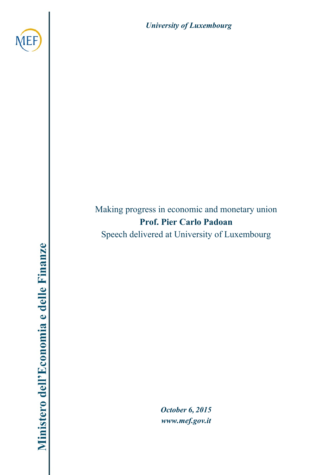



Making progress in economic and monetary union **Prof. Pier Carlo Padoan** Speech delivered at University of Luxembourg

*October 6, 2015 [www.mef.gov.it](http://www.mef.gov.it/)*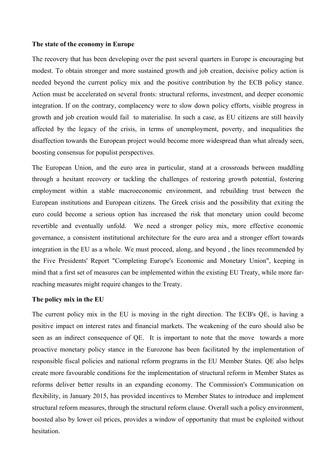## **The state of the economy in Europe**

The recovery that has been developing over the past several quarters in Europe is encouraging but modest. To obtain stronger and more sustained growth and job creation, decisive policy action is needed beyond the current policy mix and the positive contribution by the ECB policy stance. Action must be accelerated on several fronts: structural reforms, investment, and deeper economic integration. If on the contrary, complacency were to slow down policy efforts, visible progress in growth and job creation would fail to materialise. In such a case, as EU citizens are still heavily affected by the legacy of the crisis, in terms of unemployment, poverty, and inequalities the disaffection towards the European project would become more widespread than what already seen, boosting consensus for populist perspectives.

The European Union, and the euro area in particular, stand at a crossroads between muddling through a hesitant recovery or tackling the challenges of restoring growth potential, fostering employment within a stable macroeconomic environment, and rebuilding trust between the European institutions and European citizens. The Greek crisis and the possibility that exiting the euro could become a serious option has increased the risk that monetary union could become revertible and eventually unfold. We need a stronger policy mix, more effective economic governance, a consistent institutional architecture for the euro area and a stronger effort towards integration in the EU as a whole. We must proceed, along, and beyond , the lines recommended by the Five Presidents' Report "Completing Europe's Economic and Monetary Union", keeping in mind that a first set of measures can be implemented within the existing EU Treaty, while more farreaching measures might require changes to the Treaty.

## **The policy mix in the EU**

The current policy mix in the EU is moving in the right direction. The ECB's QE, is having a positive impact on interest rates and financial markets. The weakening of the euro should also be seen as an indirect consequence of QE. It is important to note that the move towards a more proactive monetary policy stance in the Eurozone has been facilitated by the implementation of responsible fiscal policies and national reform programs in the EU Member States. QE also helps create more favourable conditions for the implementation of structural reform in Member States as reforms deliver better results in an expanding economy. The Commission's Communication on flexibility, in January 2015, has provided incentives to Member States to introduce and implement structural reform measures, through the structural reform clause. Overall such a policy environment, boosted also by lower oil prices, provides a window of opportunity that must be exploited without hesitation.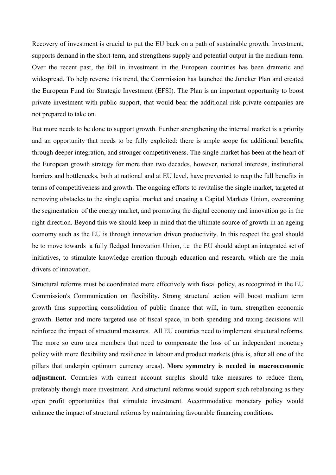Recovery of investment is crucial to put the EU back on a path of sustainable growth. Investment, supports demand in the short-term, and strengthens supply and potential output in the medium-term. Over the recent past, the fall in investment in the European countries has been dramatic and widespread. To help reverse this trend, the Commission has launched the Juncker Plan and created the European Fund for Strategic Investment (EFSI). The Plan is an important opportunity to boost private investment with public support, that would bear the additional risk private companies are not prepared to take on.

But more needs to be done to support growth. Further strengthening the internal market is a priority and an opportunity that needs to be fully exploited: there is ample scope for additional benefits, through deeper integration, and stronger competitiveness. The single market has been at the heart of the European growth strategy for more than two decades, however, national interests, institutional barriers and bottlenecks, both at national and at EU level, have prevented to reap the full benefits in terms of competitiveness and growth. The ongoing efforts to revitalise the single market, targeted at removing obstacles to the single capital market and creating a Capital Markets Union, overcoming the segmentation of the energy market, and promoting the digital economy and innovation go in the right direction. Beyond this we should keep in mind that the ultimate source of growth in an ageing economy such as the EU is through innovation driven productivity. In this respect the goal should be to move towards a fully fledged Innovation Union, i.e the EU should adopt an integrated set of initiatives, to stimulate knowledge creation through education and research, which are the main drivers of innovation.

Structural reforms must be coordinated more effectively with fiscal policy, as recognized in the EU Commission's Communication on flexibility. Strong structural action will boost medium term growth thus supporting consolidation of public finance that will, in turn, strengthen economic growth. Better and more targeted use of fiscal space, in both spending and taxing decisions will reinforce the impact of structural measures. All EU countries need to implement structural reforms. The more so euro area members that need to compensate the loss of an independent monetary policy with more flexibility and resilience in labour and product markets (this is, after all one of the pillars that underpin optimum currency areas). **More symmetry is needed in macroeconomic adjustment.** Countries with current account surplus should take measures to reduce them, preferably though more investment. And structural reforms would support such rebalancing as they open profit opportunities that stimulate investment. Accommodative monetary policy would enhance the impact of structural reforms by maintaining favourable financing conditions.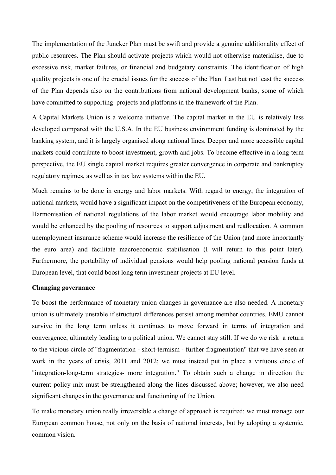The implementation of the Juncker Plan must be swift and provide a genuine additionality effect of public resources. The Plan should activate projects which would not otherwise materialise, due to excessive risk, market failures, or financial and budgetary constraints. The identification of high quality projects is one of the crucial issues for the success of the Plan. Last but not least the success of the Plan depends also on the contributions from national development banks, some of which have committed to supporting projects and platforms in the framework of the Plan.

A Capital Markets Union is a welcome initiative. The capital market in the EU is relatively less developed compared with the U.S.A. In the EU business environment funding is dominated by the banking system, and it is largely organised along national lines. Deeper and more accessible capital markets could contribute to boost investment, growth and jobs. To become effective in a long-term perspective, the EU single capital market requires greater convergence in corporate and bankruptcy regulatory regimes, as well as in tax law systems within the EU.

Much remains to be done in energy and labor markets. With regard to energy, the integration of national markets, would have a significant impact on the competitiveness of the European economy, Harmonisation of national regulations of the labor market would encourage labor mobility and would be enhanced by the pooling of resources to support adjustment and reallocation. A common unemployment insurance scheme would increase the resilience of the Union (and more importantly the euro area) and facilitate macroeconomic stabilisation (I will return to this point later). Furthermore, the portability of individual pensions would help pooling national pension funds at European level, that could boost long term investment projects at EU level.

## **Changing governance**

To boost the performance of monetary union changes in governance are also needed. A monetary union is ultimately unstable if structural differences persist among member countries. EMU cannot survive in the long term unless it continues to move forward in terms of integration and convergence, ultimately leading to a political union. We cannot stay still. If we do we risk a return to the vicious circle of "fragmentation - short-termism - further fragmentation" that we have seen at work in the years of crisis, 2011 and 2012; we must instead put in place a virtuous circle of "integration-long-term strategies- more integration." To obtain such a change in direction the current policy mix must be strengthened along the lines discussed above; however, we also need significant changes in the governance and functioning of the Union.

To make monetary union really irreversible a change of approach is required: we must manage our European common house, not only on the basis of national interests, but by adopting a systemic, common vision.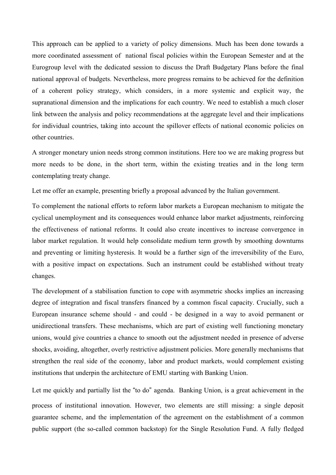This approach can be applied to a variety of policy dimensions. Much has been done towards a more coordinated assessment of national fiscal policies within the European Semester and at the Eurogroup level with the dedicated session to discuss the Draft Budgetary Plans before the final national approval of budgets. Nevertheless, more progress remains to be achieved for the definition of a coherent policy strategy, which considers, in a more systemic and explicit way, the supranational dimension and the implications for each country. We need to establish a much closer link between the analysis and policy recommendations at the aggregate level and their implications for individual countries, taking into account the spillover effects of national economic policies on other countries.

A stronger monetary union needs strong common institutions. Here too we are making progress but more needs to be done, in the short term, within the existing treaties and in the long term contemplating treaty change.

Let me offer an example, presenting briefly a proposal advanced by the Italian government.

To complement the national efforts to reform labor markets a European mechanism to mitigate the cyclical unemployment and its consequences would enhance labor market adjustments, reinforcing the effectiveness of national reforms. It could also create incentives to increase convergence in labor market regulation. It would help consolidate medium term growth by smoothing downturns and preventing or limiting hysteresis. It would be a further sign of the irreversibility of the Euro, with a positive impact on expectations. Such an instrument could be established without treaty changes.

The development of a stabilisation function to cope with asymmetric shocks implies an increasing degree of integration and fiscal transfers financed by a common fiscal capacity. Crucially, such a European insurance scheme should - and could - be designed in a way to avoid permanent or unidirectional transfers. These mechanisms, which are part of existing well functioning monetary unions, would give countries a chance to smooth out the adjustment needed in presence of adverse shocks, avoiding, altogether, overly restrictive adjustment policies. More generally mechanisms that strengthen the real side of the economy, labor and product markets, would complement existing institutions that underpin the architecture of EMU starting with Banking Union.

Let me quickly and partially list the "to do" agenda. Banking Union, is a great achievement in the process of institutional innovation. However, two elements are still missing: a single deposit guarantee scheme, and the implementation of the agreement on the establishment of a common public support (the so-called common backstop) for the Single Resolution Fund. A fully fledged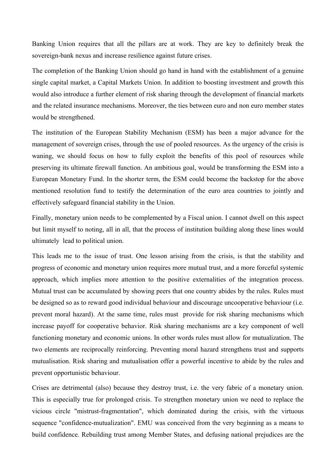Banking Union requires that all the pillars are at work. They are key to definitely break the sovereign-bank nexus and increase resilience against future crises.

The completion of the Banking Union should go hand in hand with the establishment of a genuine single capital market, a Capital Markets Union. In addition to boosting investment and growth this would also introduce a further element of risk sharing through the development of financial markets and the related insurance mechanisms. Moreover, the ties between euro and non euro member states would be strengthened.

The institution of the European Stability Mechanism (ESM) has been a major advance for the management of sovereign crises, through the use of pooled resources. As the urgency of the crisis is waning, we should focus on how to fully exploit the benefits of this pool of resources while preserving its ultimate firewall function. An ambitious goal, would be transforming the ESM into a European Monetary Fund. In the shorter term, the ESM could become the backstop for the above mentioned resolution fund to testify the determination of the euro area countries to jointly and effectively safeguard financial stability in the Union.

Finally, monetary union needs to be complemented by a Fiscal union. I cannot dwell on this aspect but limit myself to noting, all in all, that the process of institution building along these lines would ultimately lead to political union.

This leads me to the issue of trust. One lesson arising from the crisis, is that the stability and progress of economic and monetary union requires more mutual trust, and a more forceful systemic approach, which implies more attention to the positive externalities of the integration process. Mutual trust can be accumulated by showing peers that one country abides by the rules. Rules must be designed so as to reward good individual behaviour and discourage uncooperative behaviour (i.e. prevent moral hazard). At the same time, rules must provide for risk sharing mechanisms which increase payoff for cooperative behavior. Risk sharing mechanisms are a key component of well functioning monetary and economic unions. In other words rules must allow for mutualization. The two elements are reciprocally reinforcing. Preventing moral hazard strengthens trust and supports mutualisation. Risk sharing and mutualisation offer a powerful incentive to abide by the rules and prevent opportunistic behaviour.

Crises are detrimental (also) because they destroy trust, i.e. the very fabric of a monetary union. This is especially true for prolonged crisis. To strengthen monetary union we need to replace the vicious circle "mistrust-fragmentation", which dominated during the crisis, with the virtuous sequence "confidence-mutualization". EMU was conceived from the very beginning as a means to build confidence. Rebuilding trust among Member States, and defusing national prejudices are the